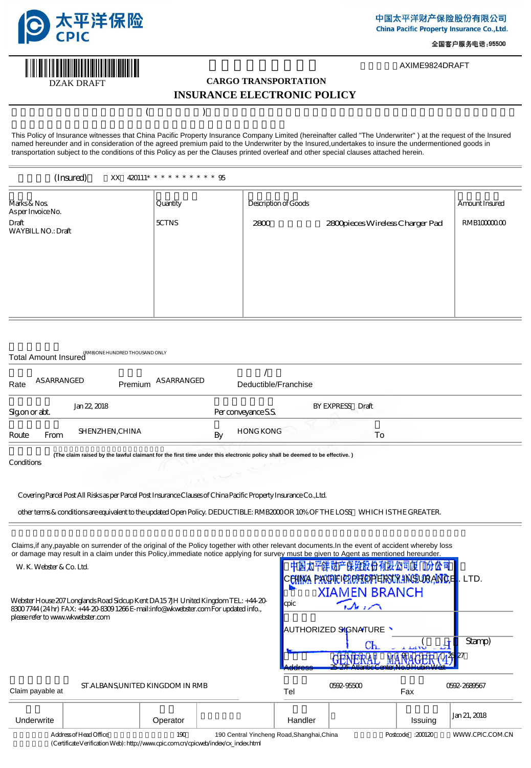

DZAK DRAFT

**INITIATIVISTI IN** 

全国客户服务电话: 95500

AXIME9824DRAFT

# **CARGO TRANSPORTATION INSURANCE ELECTRONIC POLICY**

 $(\bullet,\bullet,\bullet)$ 

This Policy of Insurance witnesses that China Pacific Property Insurance Company Limited (hereinafter called "The Underwriter" ) at the request of the Insured named hereunder and in consideration of the agreed premium paid to the Underwriter by the Insured,undertakes to insure the undermentioned goods in transportation subject to the conditions of this Policy as per the Clauses printed overleaf and other special clauses attached herein.

#### (Insured) 陈XX:420111\*\*\*\*\*\*\*\*\*\*95

(RMB)ONE HUNDRED THOUSAND ONLY

| Marks & Nos<br>Asper Invoice No.   | Quantity     | Description of Goods |                                 | Amount Insured |
|------------------------------------|--------------|----------------------|---------------------------------|----------------|
| Draft<br><b>WAYBILL NO.: Draft</b> | <b>SCTNS</b> | 2800                 | 2800pieces Wireless Charger Pad | RMB10000000    |
|                                    |              |                      |                                 |                |
|                                    |              |                      |                                 |                |

|      | Total Amount Insured The Research Collective Collection |                    |                      |
|------|---------------------------------------------------------|--------------------|----------------------|
| Rate | <b>AS ARRANGED</b>                                      | Premium ASARRANGED | Deductible/Franchise |
|      |                                                         |                    |                      |

| Sigonorabt. |      | Jan 22, 2018           | Per conveyance S.S.    | BY EXPRESS Draft |  |
|-------------|------|------------------------|------------------------|------------------|--|
| Route       | From | <b>SHENZHEN, CHINA</b> | <b>HONG KONG</b><br>By | ΙO               |  |
|             |      |                        |                        |                  |  |

本电子保单以合法索赔人提出的第一次索赔有效 **(The claim raised by the lawful claimant for the first time under this electronic policy shall be deemed to be effective. )** Conditions

#### Covering Parcel Post All Risks as per Parcel Post Insurance Clauses of China Pacific Property Insurance Co.,Ltd.

other terms & conditions are equivalent to the updated Open Policy. DEDUCTIBLE: RMB2000 OR 10% OF THE LOSS,WHICH IS THE GREATER.

Claims,if any,payable on surrender of the original of the Policy together with other relevant documents.In the event of accident whereby loss or damage may result in a claim under this Policy, immediate notice applying for surv

W. K. Webster & Co. Ltd.

Webster House 207 Longlands Road Sidcup Kent DA15 7JH United Kingdom TEL: +44-20- 8300 7744 (24 hr) FAX: +44-20-8309 1266 E-mail:info@wkwebster.com For updated info., please refer to www.wkwebster.com

| ey must be given to Agent as mentioned hereunder.      |        |
|--------------------------------------------------------|--------|
| 中国太平洋财产保险股份有限公司厦门分公司                                   |        |
| C <mark>EHNA PAQHEIOREROPERSUR INSURANCE</mark> . LTD. |        |
| <b>XIAMEN BRANCH</b>                                   |        |
| <b>cpic</b>                                            |        |
|                                                        |        |
| AUTHORIZED SIGNATURE                                   |        |
| CЬ                                                     | Stamp) |
| 42527                                                  |        |
| 25 27F Atlantic Center No 9H1 Ihin Wes                 |        |

| ST.ALBANS, UNITED KINGDOM IN RMB<br>Claim payable at |                        |          | Tel                                        | 069296500 | Fax | 06922689667        |                         |
|------------------------------------------------------|------------------------|----------|--------------------------------------------|-----------|-----|--------------------|-------------------------|
| Underwrite                                           |                        | Operator |                                            | Handler   |     | Issuing            | J <sub>m</sub> 21, 2018 |
|                                                      | Address of Head Office | 190      | 190 Central Yincheng Road, Shanghai, China |           |     | Postcode $:200120$ | WWW.CPIC.COM.CN         |

保单验真地址(Certificate Verification Web): http://www.cpic.com.cn/cpicweb/index/cx\_index.html